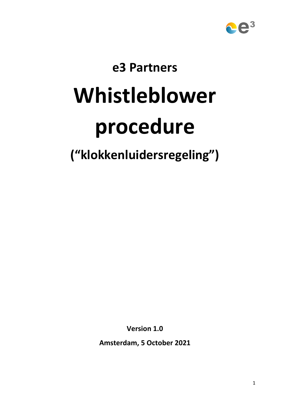

# **e3 Partners**

# **Whistleblower**

# **procedure**

**("klokkenluidersregeling")**

**Version 1.0**

**Amsterdam, 5 October 2021**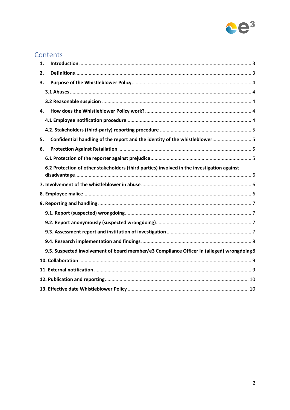

# Contents

| 1. |                                                                                            |  |  |
|----|--------------------------------------------------------------------------------------------|--|--|
| 2. |                                                                                            |  |  |
| 3. |                                                                                            |  |  |
|    |                                                                                            |  |  |
|    |                                                                                            |  |  |
| 4. |                                                                                            |  |  |
|    |                                                                                            |  |  |
|    |                                                                                            |  |  |
| 5. | Confidential handling of the report and the identity of the whistleblower 5                |  |  |
| 6. |                                                                                            |  |  |
|    |                                                                                            |  |  |
|    | 6.2 Protection of other stakeholders (third parties) involved in the investigation against |  |  |
|    |                                                                                            |  |  |
|    |                                                                                            |  |  |
|    |                                                                                            |  |  |
|    |                                                                                            |  |  |
|    |                                                                                            |  |  |
|    |                                                                                            |  |  |
|    |                                                                                            |  |  |
|    | 9.5. Suspected involvement of board member/e3 Compliance Officer in (alleged) wrongdoing8  |  |  |
|    |                                                                                            |  |  |
|    |                                                                                            |  |  |
|    |                                                                                            |  |  |
|    |                                                                                            |  |  |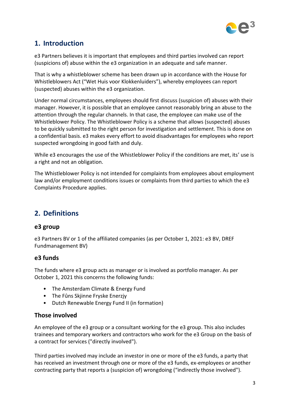

# **1. Introduction**

e3 Partners believes it is important that employees and third parties involved can report (suspicions of) abuse within the e3 organization in an adequate and safe manner.

That is why a whistleblower scheme has been drawn up in accordance with the House for Whistleblowers Act ("Wet Huis voor Klokkenluiders"), whereby employees can report (suspected) abuses within the e3 organization.

Under normal circumstances, employees should first discuss (suspicion of) abuses with their manager. However, it is possible that an employee cannot reasonably bring an abuse to the attention through the regular channels. In that case, the employee can make use of the Whistleblower Policy. The Whistleblower Policy is a scheme that allows (suspected) abuses to be quickly submitted to the right person for investigation and settlement. This is done on a confidential basis. e3 makes every effort to avoid disadvantages for employees who report suspected wrongdoing in good faith and duly.

While e3 encourages the use of the Whistleblower Policy if the conditions are met, its' use is a right and not an obligation.

The Whistleblower Policy is not intended for complaints from employees about employment law and/or employment conditions issues or complaints from third parties to which the e3 Complaints Procedure applies.

# **2. Definitions**

#### **e3 group**

e3 Partners BV or 1 of the affiliated companies (as per October 1, 2021: e3 BV, DREF Fundmanagement BV)

#### **e3 funds**

The funds where e3 group acts as manager or is involved as portfolio manager. As per October 1, 2021 this concerns the following funds:

- The Amsterdam Climate & Energy Fund
- The Fûns Skjinne Fryske Enerzjy
- Dutch Renewable Energy Fund II (in formation)

#### **Those involved**

An employee of the e3 group or a consultant working for the e3 group. This also includes trainees and temporary workers and contractors who work for the e3 Group on the basis of a contract for services ("directly involved").

Third parties involved may include an investor in one or more of the e3 funds, a party that has received an investment through one or more of the e3 funds, ex-employees or another contracting party that reports a (suspicion of) wrongdoing ("indirectly those involved").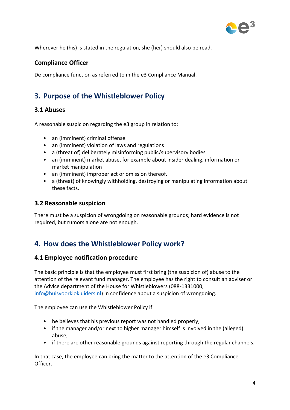

Wherever he (his) is stated in the regulation, she (her) should also be read.

#### **Compliance Officer**

De compliance function as referred to in the e3 Compliance Manual.

# **3. Purpose of the Whistleblower Policy**

#### **3.1 Abuses**

A reasonable suspicion regarding the e3 group in relation to:

- an (imminent) criminal offense
- an (imminent) violation of laws and regulations
- a (threat of) deliberately misinforming public/supervisory bodies
- an (imminent) market abuse, for example about insider dealing, information or market manipulation
- an (imminent) improper act or omission thereof.
- a (threat) of knowingly withholding, destroying or manipulating information about these facts.

#### **3.2 Reasonable suspicion**

There must be a suspicion of wrongdoing on reasonable grounds; hard evidence is not required, but rumors alone are not enough.

### **4. How does the Whistleblower Policy work?**

#### **4.1 Employee notification procedure**

The basic principle is that the employee must first bring (the suspicion of) abuse to the attention of the relevant fund manager. The employee has the right to consult an adviser or the Advice department of the House for Whistleblowers (088-1331000, [info@huisvoorklokluiders.nl\)](mailto:info@huisvoorklokluiders.nl) in confidence about a suspicion of wrongdoing.

The employee can use the Whistleblower Policy if:

- he believes that his previous report was not handled properly;
- if the manager and/or next to higher manager himself is involved in the (alleged) abuse;
- if there are other reasonable grounds against reporting through the regular channels.

In that case, the employee can bring the matter to the attention of the e3 Compliance Officer.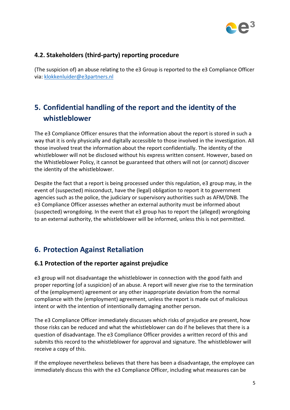

#### **4.2. Stakeholders (third-party) reporting procedure**

(The suspicion of) an abuse relating to the e3 Group is reported to the e3 Compliance Officer via: [klokkenluider@e3partners.nl](mailto:klokkenluider@e3partners.nl)

# **5. Confidential handling of the report and the identity of the whistleblower**

The e3 Compliance Officer ensures that the information about the report is stored in such a way that it is only physically and digitally accessible to those involved in the investigation. All those involved treat the information about the report confidentially. The identity of the whistleblower will not be disclosed without his express written consent. However, based on the Whistleblower Policy, it cannot be guaranteed that others will not (or cannot) discover the identity of the whistleblower.

Despite the fact that a report is being processed under this regulation, e3 group may, in the event of (suspected) misconduct, have the (legal) obligation to report it to government agencies such as the police, the judiciary or supervisory authorities such as AFM/DNB. The e3 Compliance Officer assesses whether an external authority must be informed about (suspected) wrongdoing. In the event that e3 group has to report the (alleged) wrongdoing to an external authority, the whistleblower will be informed, unless this is not permitted.

# **6. Protection Against Retaliation**

#### **6.1 Protection of the reporter against prejudice**

e3 group will not disadvantage the whistleblower in connection with the good faith and proper reporting (of a suspicion) of an abuse. A report will never give rise to the termination of the (employment) agreement or any other inappropriate deviation from the normal compliance with the (employment) agreement, unless the report is made out of malicious intent or with the intention of intentionally damaging another person.

The e3 Compliance Officer immediately discusses which risks of prejudice are present, how those risks can be reduced and what the whistleblower can do if he believes that there is a question of disadvantage. The e3 Compliance Officer provides a written record of this and submits this record to the whistleblower for approval and signature. The whistleblower will receive a copy of this.

If the employee nevertheless believes that there has been a disadvantage, the employee can immediately discuss this with the e3 Compliance Officer, including what measures can be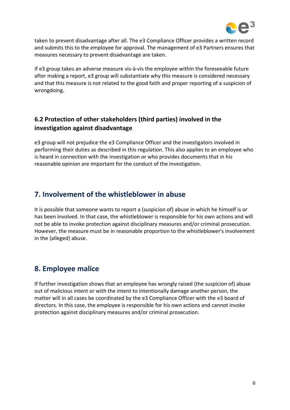

taken to prevent disadvantage after all. The e3 Compliance Officer provides a written record and submits this to the employee for approval. The management of e3 Partners ensures that measures necessary to prevent disadvantage are taken.

If e3 group takes an adverse measure vis-à-vis the employee within the foreseeable future after making a report, e3 group will substantiate why this measure is considered necessary and that this measure is not related to the good faith and proper reporting of a suspicion of wrongdoing.

#### **6.2 Protection of other stakeholders (third parties) involved in the investigation against disadvantage**

e3 group will not prejudice the e3 Compliance Officer and the investigators involved in performing their duties as described in this regulation. This also applies to an employee who is heard in connection with the investigation or who provides documents that in his reasonable opinion are important for the conduct of the investigation.

# **7. Involvement of the whistleblower in abuse**

It is possible that someone wants to report a (suspicion of) abuse in which he himself is or has been involved. In that case, the whistleblower is responsible for his own actions and will not be able to invoke protection against disciplinary measures and/or criminal prosecution. However, the measure must be in reasonable proportion to the whistleblower's involvement in the (alleged) abuse.

# **8. Employee malice**

If further investigation shows that an employee has wrongly raised (the suspicion of) abuse out of malicious intent or with the intent to intentionally damage another person, the matter will in all cases be coordinated by the e3 Compliance Officer with the e3 board of directors. In this case, the employee is responsible for his own actions and cannot invoke protection against disciplinary measures and/or criminal prosecution.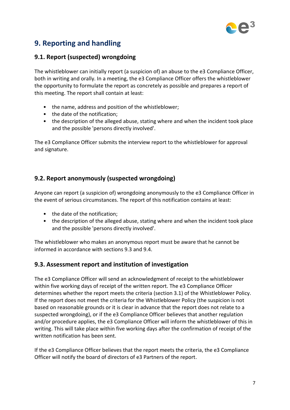

# **9. Reporting and handling**

#### **9.1. Report (suspected) wrongdoing**

The whistleblower can initially report (a suspicion of) an abuse to the e3 Compliance Officer, both in writing and orally. In a meeting, the e3 Compliance Officer offers the whistleblower the opportunity to formulate the report as concretely as possible and prepares a report of this meeting. The report shall contain at least:

- the name, address and position of the whistleblower;
- the date of the notification;
- the description of the alleged abuse, stating where and when the incident took place and the possible 'persons directly involved'.

The e3 Compliance Officer submits the interview report to the whistleblower for approval and signature.

#### **9.2. Report anonymously (suspected wrongdoing)**

Anyone can report (a suspicion of) wrongdoing anonymously to the e3 Compliance Officer in the event of serious circumstances. The report of this notification contains at least:

- the date of the notification;
- the description of the alleged abuse, stating where and when the incident took place and the possible 'persons directly involved'.

The whistleblower who makes an anonymous report must be aware that he cannot be informed in accordance with sections 9.3 and 9.4.

#### **9.3. Assessment report and institution of investigation**

The e3 Compliance Officer will send an acknowledgment of receipt to the whistleblower within five working days of receipt of the written report. The e3 Compliance Officer determines whether the report meets the criteria (section 3.1) of the Whistleblower Policy. If the report does not meet the criteria for the Whistleblower Policy (the suspicion is not based on reasonable grounds or it is clear in advance that the report does not relate to a suspected wrongdoing), or if the e3 Compliance Officer believes that another regulation and/or procedure applies, the e3 Compliance Officer will inform the whistleblower of this in writing. This will take place within five working days after the confirmation of receipt of the written notification has been sent.

If the e3 Compliance Officer believes that the report meets the criteria, the e3 Compliance Officer will notify the board of directors of e3 Partners of the report.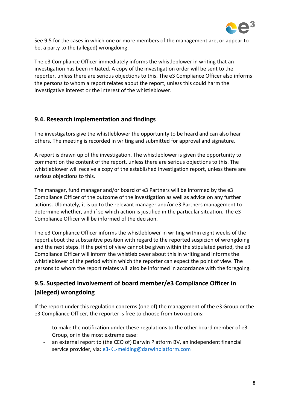

See 9.5 for the cases in which one or more members of the management are, or appear to be, a party to the (alleged) wrongdoing.

The e3 Compliance Officer immediately informs the whistleblower in writing that an investigation has been initiated. A copy of the investigation order will be sent to the reporter, unless there are serious objections to this. The e3 Compliance Officer also informs the persons to whom a report relates about the report, unless this could harm the investigative interest or the interest of the whistleblower.

#### **9.4. Research implementation and findings**

The investigators give the whistleblower the opportunity to be heard and can also hear others. The meeting is recorded in writing and submitted for approval and signature.

A report is drawn up of the investigation. The whistleblower is given the opportunity to comment on the content of the report, unless there are serious objections to this. The whistleblower will receive a copy of the established investigation report, unless there are serious objections to this.

The manager, fund manager and/or board of e3 Partners will be informed by the e3 Compliance Officer of the outcome of the investigation as well as advice on any further actions. Ultimately, it is up to the relevant manager and/or e3 Partners management to determine whether, and if so which action is justified in the particular situation. The e3 Compliance Officer will be informed of the decision.

The e3 Compliance Officer informs the whistleblower in writing within eight weeks of the report about the substantive position with regard to the reported suspicion of wrongdoing and the next steps. If the point of view cannot be given within the stipulated period, the e3 Compliance Officer will inform the whistleblower about this in writing and informs the whistleblower of the period within which the reporter can expect the point of view. The persons to whom the report relates will also be informed in accordance with the foregoing.

#### **9.5. Suspected involvement of board member/e3 Compliance Officer in (alleged) wrongdoing**

If the report under this regulation concerns (one of) the management of the e3 Group or the e3 Compliance Officer, the reporter is free to choose from two options:

- to make the notification under these regulations to the other board member of e3 Group, or in the most extreme case:
- an external report to (the CEO of) Darwin Platform BV, an independent financial service provider, via: [e3-KL-melding@darwinplatform.com](mailto:e3-KL-melding@darwinplatform.com)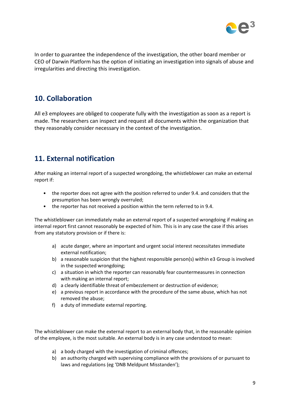

In order to guarantee the independence of the investigation, the other board member or CEO of Darwin Platform has the option of initiating an investigation into signals of abuse and irregularities and directing this investigation.

## **10. Collaboration**

All e3 employees are obliged to cooperate fully with the investigation as soon as a report is made. The researchers can inspect and request all documents within the organization that they reasonably consider necessary in the context of the investigation.

# **11. External notification**

After making an internal report of a suspected wrongdoing, the whistleblower can make an external report if:

- the reporter does not agree with the position referred to under 9.4. and considers that the presumption has been wrongly overruled;
- the reporter has not received a position within the term referred to in 9.4.

The whistleblower can immediately make an external report of a suspected wrongdoing if making an internal report first cannot reasonably be expected of him. This is in any case the case if this arises from any statutory provision or if there is:

- a) acute danger, where an important and urgent social interest necessitates immediate external notification;
- b) a reasonable suspicion that the highest responsible person(s) within e3 Group is involved in the suspected wrongdoing;
- c) a situation in which the reporter can reasonably fear countermeasures in connection with making an internal report;
- d) a clearly identifiable threat of embezzlement or destruction of evidence;
- e) a previous report in accordance with the procedure of the same abuse, which has not removed the abuse;
- f) a duty of immediate external reporting.

The whistleblower can make the external report to an external body that, in the reasonable opinion of the employee, is the most suitable. An external body is in any case understood to mean:

- a) a body charged with the investigation of criminal offences;
- b) an authority charged with supervising compliance with the provisions of or pursuant to laws and regulations (eg 'DNB Meldpunt Misstanden');